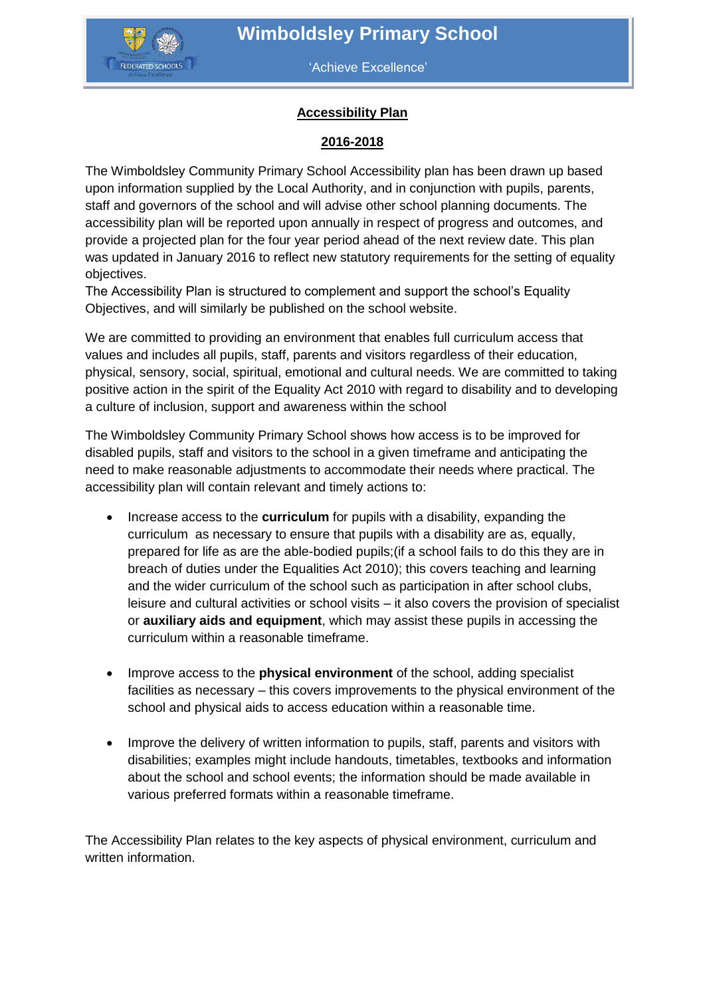

'Achieve Excellence'

### **Accessibility Plan**

#### **2016-2018**

The Wimboldsley Community Primary School Accessibility plan has been drawn up based upon information supplied by the Local Authority, and in conjunction with pupils, parents, staff and governors of the school and will advise other school planning documents. The accessibility plan will be reported upon annually in respect of progress and outcomes, and provide a projected plan for the four year period ahead of the next review date. This plan was updated in January 2016 to reflect new statutory requirements for the setting of equality objectives.

The Accessibility Plan is structured to complement and support the school's Equality Objectives, and will similarly be published on the school website.

We are committed to providing an environment that enables full curriculum access that values and includes all pupils, staff, parents and visitors regardless of their education, physical, sensory, social, spiritual, emotional and cultural needs. We are committed to taking positive action in the spirit of the Equality Act 2010 with regard to disability and to developing a culture of inclusion, support and awareness within the school

The Wimboldsley Community Primary School shows how access is to be improved for disabled pupils, staff and visitors to the school in a given timeframe and anticipating the need to make reasonable adjustments to accommodate their needs where practical. The accessibility plan will contain relevant and timely actions to:

- Increase access to the **curriculum** for pupils with a disability, expanding the curriculum as necessary to ensure that pupils with a disability are as, equally, prepared for life as are the able-bodied pupils;(if a school fails to do this they are in breach of duties under the Equalities Act 2010); this covers teaching and learning and the wider curriculum of the school such as participation in after school clubs, leisure and cultural activities or school visits – it also covers the provision of specialist or **auxiliary aids and equipment**, which may assist these pupils in accessing the curriculum within a reasonable timeframe.
- Improve access to the **physical environment** of the school, adding specialist facilities as necessary – this covers improvements to the physical environment of the school and physical aids to access education within a reasonable time.
- Improve the delivery of written information to pupils, staff, parents and visitors with disabilities; examples might include handouts, timetables, textbooks and information about the school and school events; the information should be made available in various preferred formats within a reasonable timeframe.

The Accessibility Plan relates to the key aspects of physical environment, curriculum and written information.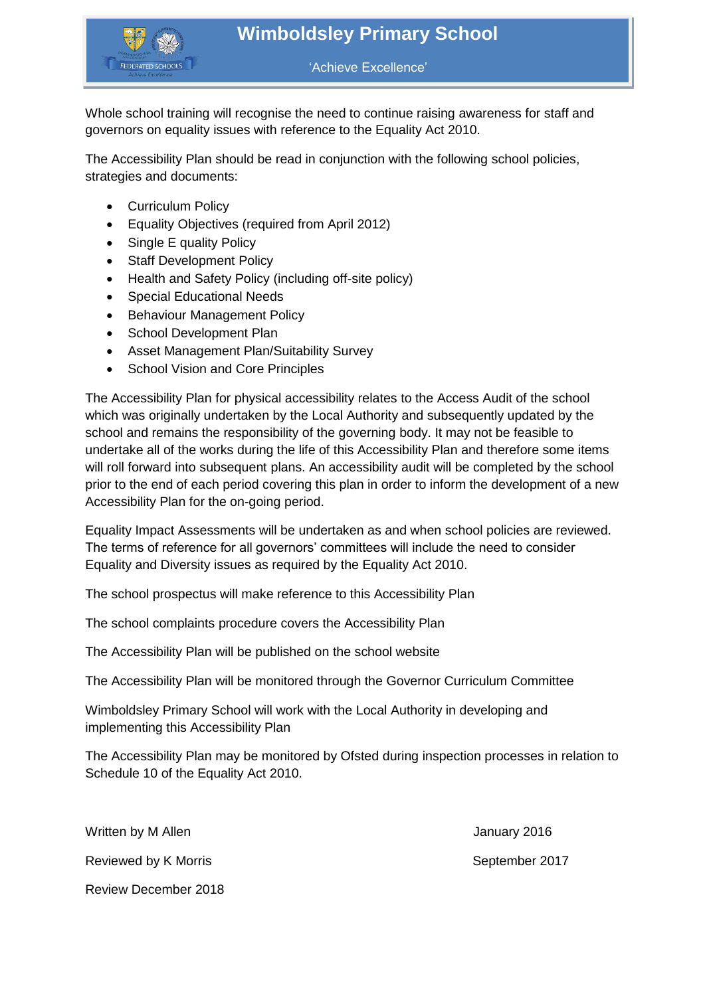# **Wimboldsley Primary School**



'Achieve Excellence'

Whole school training will recognise the need to continue raising awareness for staff and governors on equality issues with reference to the Equality Act 2010.

The Accessibility Plan should be read in conjunction with the following school policies, strategies and documents:

- Curriculum Policy
- Equality Objectives (required from April 2012)
- Single E quality Policy
- Staff Development Policy
- Health and Safety Policy (including off-site policy)
- Special Educational Needs
- Behaviour Management Policy
- School Development Plan
- Asset Management Plan/Suitability Survey
- School Vision and Core Principles

The Accessibility Plan for physical accessibility relates to the Access Audit of the school which was originally undertaken by the Local Authority and subsequently updated by the school and remains the responsibility of the governing body. It may not be feasible to undertake all of the works during the life of this Accessibility Plan and therefore some items will roll forward into subsequent plans. An accessibility audit will be completed by the school prior to the end of each period covering this plan in order to inform the development of a new Accessibility Plan for the on-going period.

Equality Impact Assessments will be undertaken as and when school policies are reviewed. The terms of reference for all governors' committees will include the need to consider Equality and Diversity issues as required by the Equality Act 2010.

The school prospectus will make reference to this Accessibility Plan

The school complaints procedure covers the Accessibility Plan

The Accessibility Plan will be published on the school website

The Accessibility Plan will be monitored through the Governor Curriculum Committee

Wimboldsley Primary School will work with the Local Authority in developing and implementing this Accessibility Plan

The Accessibility Plan may be monitored by Ofsted during inspection processes in relation to Schedule 10 of the Equality Act 2010.

Written by M Allen **January 2016** Reviewed by K Morris **September 2017** Review December 2018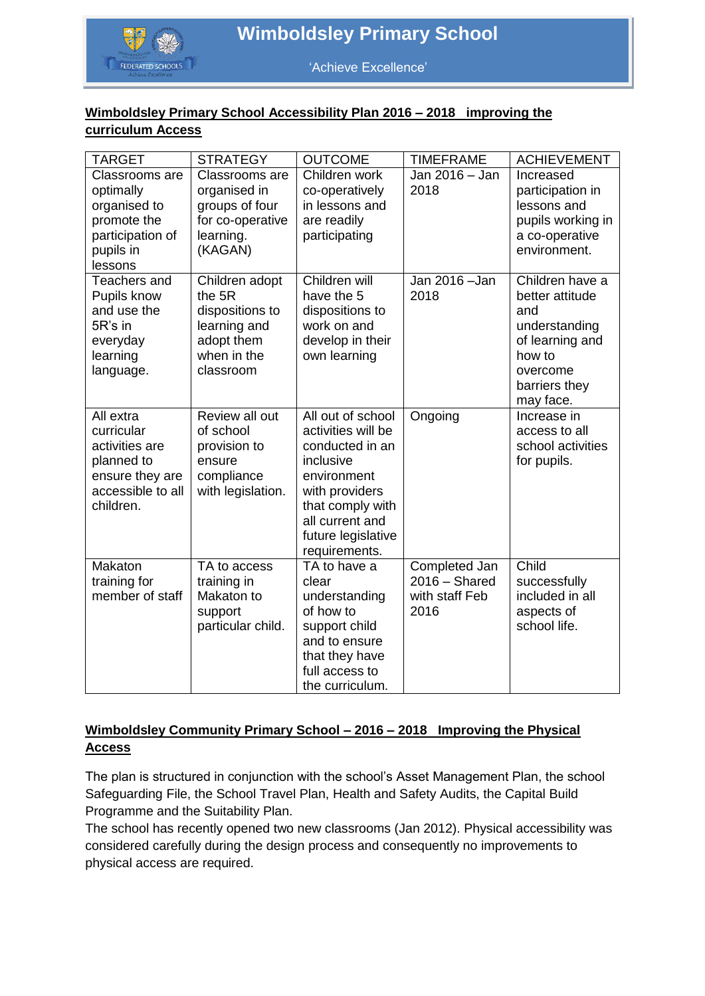

'Achieve Excellence'

## **Wimboldsley Primary School Accessibility Plan 2016 – 2018 improving the curriculum Access**

| <b>TARGET</b>                                                                                                | <b>STRATEGY</b>                                                                                       | <b>OUTCOME</b>                                                                                                                                                                         | <b>TIMEFRAME</b>                                           | <b>ACHIEVEMENT</b>                                                                                                                |
|--------------------------------------------------------------------------------------------------------------|-------------------------------------------------------------------------------------------------------|----------------------------------------------------------------------------------------------------------------------------------------------------------------------------------------|------------------------------------------------------------|-----------------------------------------------------------------------------------------------------------------------------------|
| Classrooms are<br>optimally<br>organised to<br>promote the<br>participation of<br>pupils in<br>lessons       | Classrooms are<br>organised in<br>groups of four<br>for co-operative<br>learning.<br>(KAGAN)          | Children work<br>co-operatively<br>in lessons and<br>are readily<br>participating                                                                                                      | Jan 2016 - Jan<br>2018                                     | Increased<br>participation in<br>lessons and<br>pupils working in<br>a co-operative<br>environment.                               |
| Teachers and<br>Pupils know<br>and use the<br>5R's in<br>everyday<br>learning<br>language.                   | Children adopt<br>the 5R<br>dispositions to<br>learning and<br>adopt them<br>when in the<br>classroom | Children will<br>have the 5<br>dispositions to<br>work on and<br>develop in their<br>own learning                                                                                      | Jan 2016 - Jan<br>2018                                     | Children have a<br>better attitude<br>and<br>understanding<br>of learning and<br>how to<br>overcome<br>barriers they<br>may face. |
| All extra<br>curricular<br>activities are<br>planned to<br>ensure they are<br>accessible to all<br>children. | Review all out<br>of school<br>provision to<br>ensure<br>compliance<br>with legislation.              | All out of school<br>activities will be<br>conducted in an<br>inclusive<br>environment<br>with providers<br>that comply with<br>all current and<br>future legislative<br>requirements. | Ongoing                                                    | Increase in<br>access to all<br>school activities<br>for pupils.                                                                  |
| Makaton<br>training for<br>member of staff                                                                   | TA to access<br>training in<br>Makaton to<br>support<br>particular child.                             | TA to have a<br>clear<br>understanding<br>of how to<br>support child<br>and to ensure<br>that they have<br>full access to<br>the curriculum.                                           | Completed Jan<br>$2016 - Shared$<br>with staff Feb<br>2016 | Child<br>successfully<br>included in all<br>aspects of<br>school life.                                                            |

## **Wimboldsley Community Primary School – 2016 – 2018 Improving the Physical Access**

The plan is structured in conjunction with the school's Asset Management Plan, the school Safeguarding File, the School Travel Plan, Health and Safety Audits, the Capital Build Programme and the Suitability Plan.

The school has recently opened two new classrooms (Jan 2012). Physical accessibility was considered carefully during the design process and consequently no improvements to physical access are required.